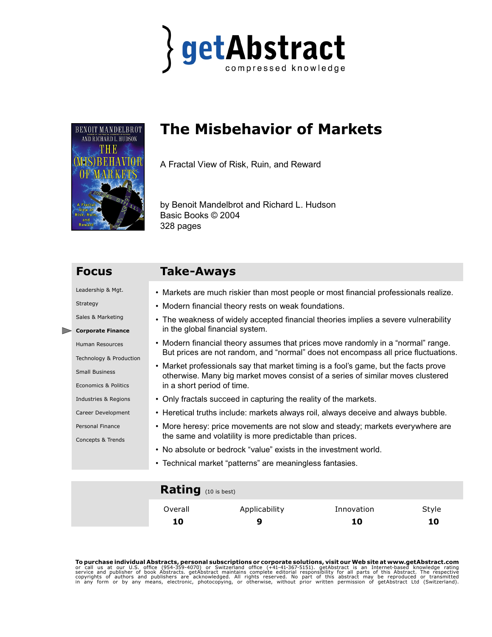



# **The Misbehavior of Markets**

A Fractal View of Risk, Ruin, and Reward

by Benoit Mandelbrot and Richard L. Hudson Basic Books © 2004 328 pages

# **Focus Take-Aways**

Leadership & Mgt.

Strategy

Sales & Marketing

### **Corporate Finance**

Human Resources

Technology & Production

Small Business

Economics & Politics

- Industries & Regions
- Career Development
- Personal Finance

Concepts & Trends

- Markets are much riskier than most people or most financial professionals realize.
- Modern financial theory rests on weak foundations.
- The weakness of widely accepted financial theories implies a severe vulnerability in the global financial system.
- Modern financial theory assumes that prices move randomly in a "normal" range. But prices are not random, and "normal" does not encompass all price fluctuations.
- Market professionals say that market timing is a fool's game, but the facts prove otherwise. Many big market moves consist of a series of similar moves clustered in a short period of time.
- Only fractals succeed in capturing the reality of the markets.
- Heretical truths include: markets always roil, always deceive and always bubble.
- More heresy: price movements are not slow and steady; markets everywhere are the same and volatility is more predictable than prices.
- No absolute or bedrock "value" exists in the investment world.
- Technical market "patterns" are meaningless fantasies.

### **Rating** (10 is best)

| Overall | Applicability | Innovation | Style |
|---------|---------------|------------|-------|
| 10      | 9             | 10         | 10    |

**To purchase individual Abstracts, personal subscriptions or corporate solutions, visit our Web site at www.getAbstract.com<br>or call us at our U.S. office (954-359-4070) or Switzerland office (+41-41-367-5151). getAbstract**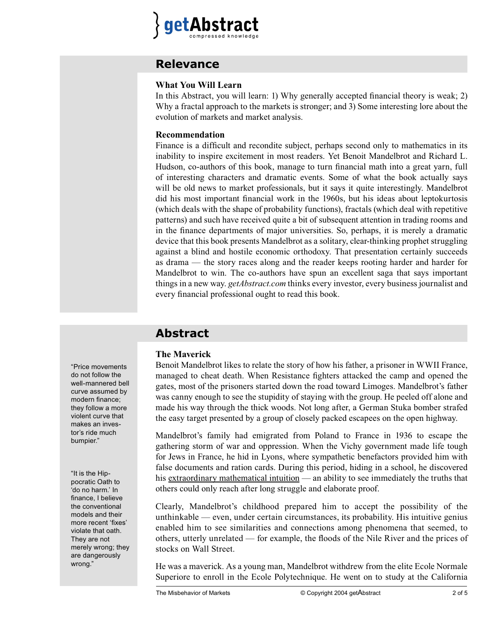

## **Relevance**

#### **What You Will Learn**

In this Abstract, you will learn: 1) Why generally accepted financial theory is weak; 2) Why a fractal approach to the markets is stronger; and 3) Some interesting lore about the evolution of markets and market analysis.

#### **Recommendation**

Finance is a difficult and recondite subject, perhaps second only to mathematics in its inability to inspire excitement in most readers. Yet Benoit Mandelbrot and Richard L. Hudson, co-authors of this book, manage to turn financial math into a great yarn, full of interesting characters and dramatic events. Some of what the book actually says will be old news to market professionals, but it says it quite interestingly. Mandelbrot did his most important financial work in the 1960s, but his ideas about leptokurtosis (which deals with the shape of probability functions), fractals (which deal with repetitive patterns) and such have received quite a bit of subsequent attention in trading rooms and in the finance departments of major universities. So, perhaps, it is merely a dramatic device that this book presents Mandelbrot as a solitary, clear-thinking prophet struggling against a blind and hostile economic orthodoxy. That presentation certainly succeeds as drama — the story races along and the reader keeps rooting harder and harder for Mandelbrot to win. The co-authors have spun an excellent saga that says important things in a new way. *getAbstract.com* thinks every investor, every business journalist and every financial professional ought to read this book.

# **Abstract**

#### **The Maverick**

Benoit Mandelbrot likes to relate the story of how his father, a prisoner in WWII France, managed to cheat death. When Resistance fighters attacked the camp and opened the gates, most of the prisoners started down the road toward Limoges. Mandelbrot's father was canny enough to see the stupidity of staying with the group. He peeled off alone and made his way through the thick woods. Not long after, a German Stuka bomber strafed the easy target presented by a group of closely packed escapees on the open highway.

Mandelbrot's family had emigrated from Poland to France in 1936 to escape the gathering storm of war and oppression. When the Vichy government made life tough for Jews in France, he hid in Lyons, where sympathetic benefactors provided him with false documents and ration cards. During this period, hiding in a school, he discovered his extraordinary mathematical intuition — an ability to see immediately the truths that others could only reach after long struggle and elaborate proof.

Clearly, Mandelbrot's childhood prepared him to accept the possibility of the unthinkable — even, under certain circumstances, its probability. His intuitive genius enabled him to see similarities and connections among phenomena that seemed, to others, utterly unrelated — for example, the floods of the Nile River and the prices of stocks on Wall Street.

He was a maverick. As a young man, Mandelbrot withdrew from the elite Ecole Normale Superiore to enroll in the Ecole Polytechnique. He went on to study at the California

"Price movements do not follow the well-mannered bell curve assumed by modern finance; they follow a more violent curve that makes an investor's ride much bumpier."

"It is the Hippocratic Oath to 'do no harm.' In finance, I believe the conventional models and their more recent 'fixes' violate that oath. They are not merely wrong; they are dangerously wrong."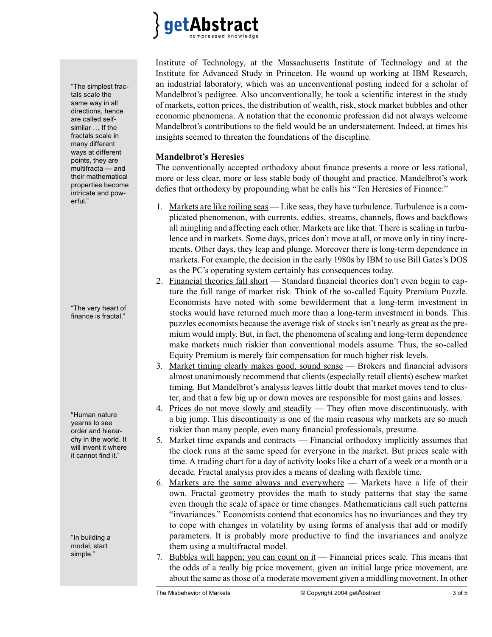

Institute of Technology, at the Massachusetts Institute of Technology and at the Institute for Advanced Study in Princeton. He wound up working at IBM Research, an industrial laboratory, which was an unconventional posting indeed for a scholar of Mandelbrot's pedigree. Also unconventionally, he took a scientific interest in the study of markets, cotton prices, the distribution of wealth, risk, stock market bubbles and other economic phenomena. A notation that the economic profession did not always welcome Mandelbrot's contributions to the field would be an understatement. Indeed, at times his insights seemed to threaten the foundations of the discipline.

#### **Mandelbrot's Heresies**

The conventionally accepted orthodoxy about finance presents a more or less rational, more or less clear, more or less stable body of thought and practice. Mandelbrot's work defies that orthodoxy by propounding what he calls his "Ten Heresies of Finance:"

- 1. Markets are like roiling seas Like seas, they have turbulence. Turbulence is a complicated phenomenon, with currents, eddies, streams, channels, flows and backflows all mingling and affecting each other. Markets are like that. There is scaling in turbulence and in markets. Some days, prices don't move at all, or move only in tiny increments. Other days, they leap and plunge. Moreover there is long-term dependence in markets. For example, the decision in the early 1980s by IBM to use Bill Gates's DOS as the PC's operating system certainly has consequences today.
- 2. Financial theories fall short  $-$  Standard financial theories don't even begin to capture the full range of market risk. Think of the so-called Equity Premium Puzzle. Economists have noted with some bewilderment that a long-term investment in stocks would have returned much more than a long-term investment in bonds. This puzzles economists because the average risk of stocks isn't nearly as great as the premium would imply. But, in fact, the phenomena of scaling and long-term dependence make markets much riskier than conventional models assume. Thus, the so-called Equity Premium is merely fair compensation for much higher risk levels.
- 3. Market timing clearly makes good, sound sense Brokers and financial advisors almost unanimously recommend that clients (especially retail clients) eschew market timing. But Mandelbrot's analysis leaves little doubt that market moves tend to cluster, and that a few big up or down moves are responsible for most gains and losses.
- 4. Prices do not move slowly and steadily They often move discontinuously, with a big jump. This discontinuity is one of the main reasons why markets are so much riskier than many people, even many financial professionals, presume.
- 5. Market time expands and contracts Financial orthodoxy implicitly assumes that the clock runs at the same speed for everyone in the market. But prices scale with time. A trading chart for a day of activity looks like a chart of a week or a month or a decade. Fractal analysis provides a means of dealing with flexible time.
- 6. Markets are the same always and everywhere Markets have a life of their own. Fractal geometry provides the math to study patterns that stay the same even though the scale of space or time changes. Mathematicians call such patterns "invariances." Economists contend that economics has no invariances and they try to cope with changes in volatility by using forms of analysis that add or modify parameters. It is probably more productive to find the invariances and analyze them using a multifractal model.
- 7. Bubbles will happen; you can count on  $\mathrm{i}t$  Financial prices scale. This means that the odds of a really big price movement, given an initial large price movement, are about the same as those of a moderate movement given a middling movement. In other

"The simplest fractals scale the same way in all directions, hence are called selfsimilar … If the fractals scale in many different ways at different points, they are multifracta — and their mathematical properties become intricate and powerful."

"The very heart of finance is fractal."

"Human nature yearns to see order and hierarchy in the world. It will invent it where it cannot find it."

"In building a model, start simple."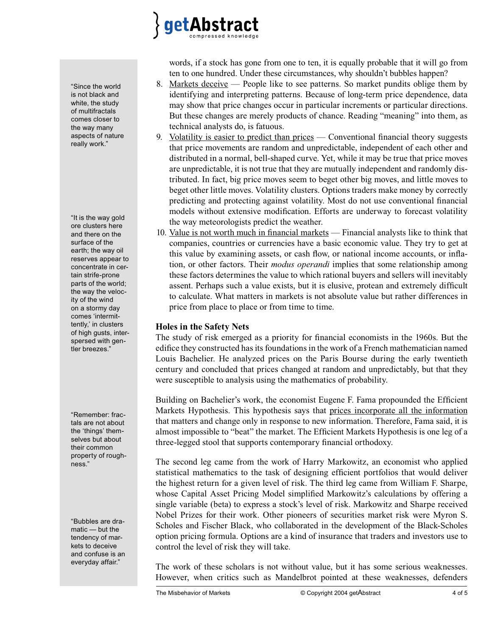

words, if a stock has gone from one to ten, it is equally probable that it will go from ten to one hundred. Under these circumstances, why shouldn't bubbles happen?

- 8. Markets deceive People like to see patterns. So market pundits oblige them by identifying and interpreting patterns. Because of long-term price dependence, data may show that price changes occur in particular increments or particular directions. But these changes are merely products of chance. Reading "meaning" into them, as technical analysts do, is fatuous.
- 9. Volatility is easier to predict than prices  $-$  Conventional financial theory suggests that price movements are random and unpredictable, independent of each other and distributed in a normal, bell-shaped curve. Yet, while it may be true that price moves are unpredictable, it is not true that they are mutually independent and randomly distributed. In fact, big price moves seem to beget other big moves, and little moves to beget other little moves. Volatility clusters. Options traders make money by correctly predicting and protecting against volatility. Most do not use conventional financial models without extensive modification. Efforts are underway to forecast volatility the way meteorologists predict the weather.
- 10. Value is not worth much in financial markets Financial analysts like to think that companies, countries or currencies have a basic economic value. They try to get at this value by examining assets, or cash flow, or national income accounts, or inflation, or other factors. Their *modus operandi* implies that some relationship among these factors determines the value to which rational buyers and sellers will inevitably assent. Perhaps such a value exists, but it is elusive, protean and extremely difficult to calculate. What matters in markets is not absolute value but rather differences in price from place to place or from time to time.

#### **Holes in the Safety Nets**

The study of risk emerged as a priority for financial economists in the 1960s. But the edifice they constructed has its foundations in the work of a French mathematician named Louis Bachelier. He analyzed prices on the Paris Bourse during the early twentieth century and concluded that prices changed at random and unpredictably, but that they were susceptible to analysis using the mathematics of probability.

Building on Bachelier's work, the economist Eugene F. Fama propounded the Efficient Markets Hypothesis. This hypothesis says that prices incorporate all the information that matters and change only in response to new information. Therefore, Fama said, it is almost impossible to "beat" the market. The Efficient Markets Hypothesis is one leg of a three-legged stool that supports contemporary financial orthodoxy.

The second leg came from the work of Harry Markowitz, an economist who applied statistical mathematics to the task of designing efficient portfolios that would deliver the highest return for a given level of risk. The third leg came from William F. Sharpe, whose Capital Asset Pricing Model simplified Markowitz's calculations by offering a single variable (beta) to express a stock's level of risk. Markowitz and Sharpe received Nobel Prizes for their work. Other pioneers of securities market risk were Myron S. Scholes and Fischer Black, who collaborated in the development of the Black-Scholes option pricing formula. Options are a kind of insurance that traders and investors use to control the level of risk they will take.

The work of these scholars is not without value, but it has some serious weaknesses. However, when critics such as Mandelbrot pointed at these weaknesses, defenders

The Misbehavior of Markets **CODITION** © Copyright 2004 getAbstract 4 of 5

"Since the world is not black and white, the study of multifractals comes closer to the way many aspects of nature really work."

"It is the way gold ore clusters here and there on the surface of the earth; the way oil reserves appear to concentrate in certain strife-prone parts of the world; the way the velocity of the wind on a stormy day comes 'intermittently,' in clusters of high gusts, interspersed with gentler breezes."

"Remember: fractals are not about the 'things' themselves but about their common property of roughness."

"Bubbles are dramatic — but the tendency of markets to deceive and confuse is an everyday affair."